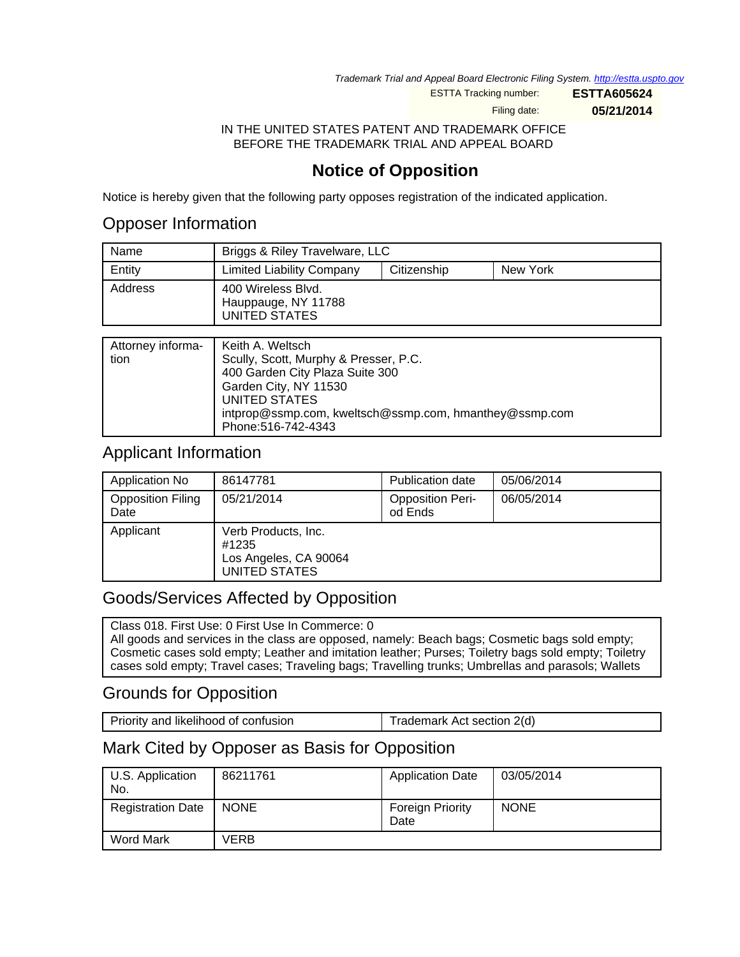Trademark Trial and Appeal Board Electronic Filing System. <http://estta.uspto.gov>

ESTTA Tracking number: **ESTTA605624**

Filing date: **05/21/2014**

IN THE UNITED STATES PATENT AND TRADEMARK OFFICE BEFORE THE TRADEMARK TRIAL AND APPEAL BOARD

# **Notice of Opposition**

Notice is hereby given that the following party opposes registration of the indicated application.

#### Opposer Information

| Name    | Briggs & Riley Travelware, LLC                             |             |          |
|---------|------------------------------------------------------------|-------------|----------|
| Entity  | Limited Liability Company                                  | Citizenship | New York |
| Address | 400 Wireless Blvd.<br>Hauppauge, NY 11788<br>UNITED STATES |             |          |

| Attorney informa-<br>tion | Keith A. Weltsch<br>Scully, Scott, Murphy & Presser, P.C.<br>400 Garden City Plaza Suite 300<br>Garden City, NY 11530<br>UNITED STATES<br>intprop@ssmp.com, kweltsch@ssmp.com, hmanthey@ssmp.com |
|---------------------------|--------------------------------------------------------------------------------------------------------------------------------------------------------------------------------------------------|
|                           | Phone: 516-742-4343                                                                                                                                                                              |

## Applicant Information

| Application No                   | 86147781                                                               | Publication date                   | 05/06/2014 |
|----------------------------------|------------------------------------------------------------------------|------------------------------------|------------|
| <b>Opposition Filing</b><br>Date | 05/21/2014                                                             | <b>Opposition Peri-</b><br>od Ends | 06/05/2014 |
| Applicant                        | Verb Products, Inc.<br>#1235<br>Los Angeles, CA 90064<br>UNITED STATES |                                    |            |

## Goods/Services Affected by Opposition

Class 018. First Use: 0 First Use In Commerce: 0 All goods and services in the class are opposed, namely: Beach bags; Cosmetic bags sold empty; Cosmetic cases sold empty; Leather and imitation leather; Purses; Toiletry bags sold empty; Toiletry cases sold empty; Travel cases; Traveling bags; Travelling trunks; Umbrellas and parasols; Wallets

## Grounds for Opposition

Priority and likelihood of confusion Trademark Act section 2(d)

## Mark Cited by Opposer as Basis for Opposition

| U.S. Application<br>No.  | 86211761    | <b>Application Date</b>         | 03/05/2014  |
|--------------------------|-------------|---------------------------------|-------------|
| <b>Registration Date</b> | <b>NONE</b> | <b>Foreign Priority</b><br>Date | <b>NONE</b> |
| <b>Word Mark</b>         | VERB        |                                 |             |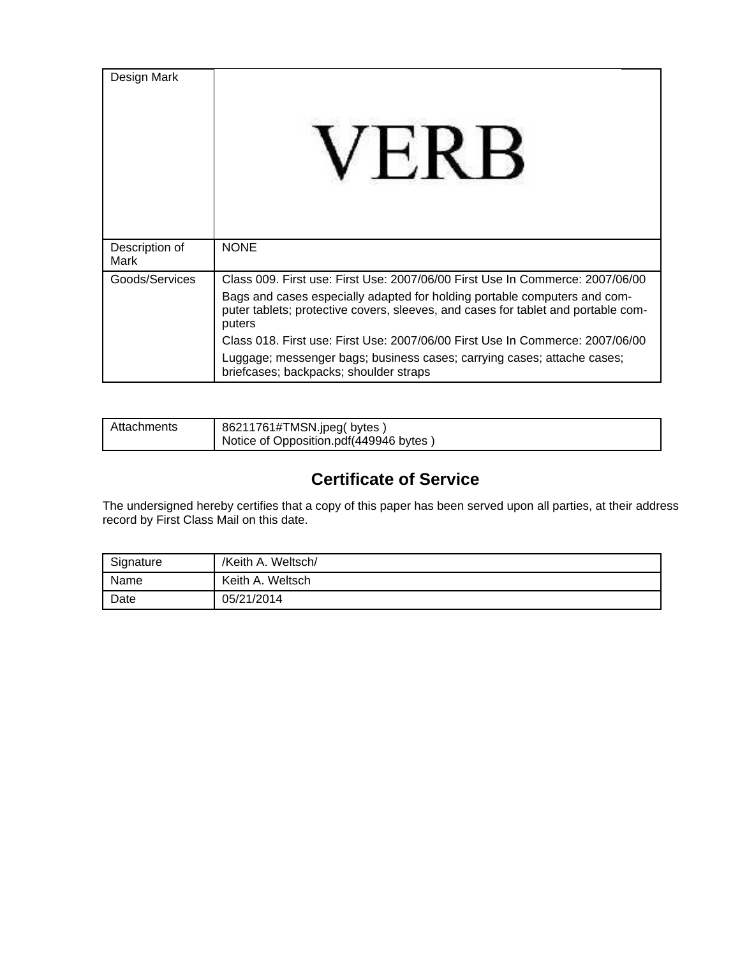| Design Mark            |                                                                                                                                                                          |
|------------------------|--------------------------------------------------------------------------------------------------------------------------------------------------------------------------|
| Description of<br>Mark | <b>NONE</b>                                                                                                                                                              |
| Goods/Services         | Class 009. First use: First Use: 2007/06/00 First Use In Commerce: 2007/06/00                                                                                            |
|                        | Bags and cases especially adapted for holding portable computers and com-<br>puter tablets; protective covers, sleeves, and cases for tablet and portable com-<br>puters |
|                        | Class 018. First use: First Use: 2007/06/00 First Use In Commerce: 2007/06/00                                                                                            |
|                        | Luggage; messenger bags; business cases; carrying cases; attache cases;<br>briefcases; backpacks; shoulder straps                                                        |

| Attachments | 86211761#TMSN.jpeg(bytes)<br>Notice of Opposition.pdf(449946 bytes) |
|-------------|---------------------------------------------------------------------|
|             |                                                                     |

# **Certificate of Service**

The undersigned hereby certifies that a copy of this paper has been served upon all parties, at their address record by First Class Mail on this date.

| Signature | /Keith A. Weltsch/ |
|-----------|--------------------|
| Name      | Keith A. Weltsch   |
| Date      | 05/21/2014         |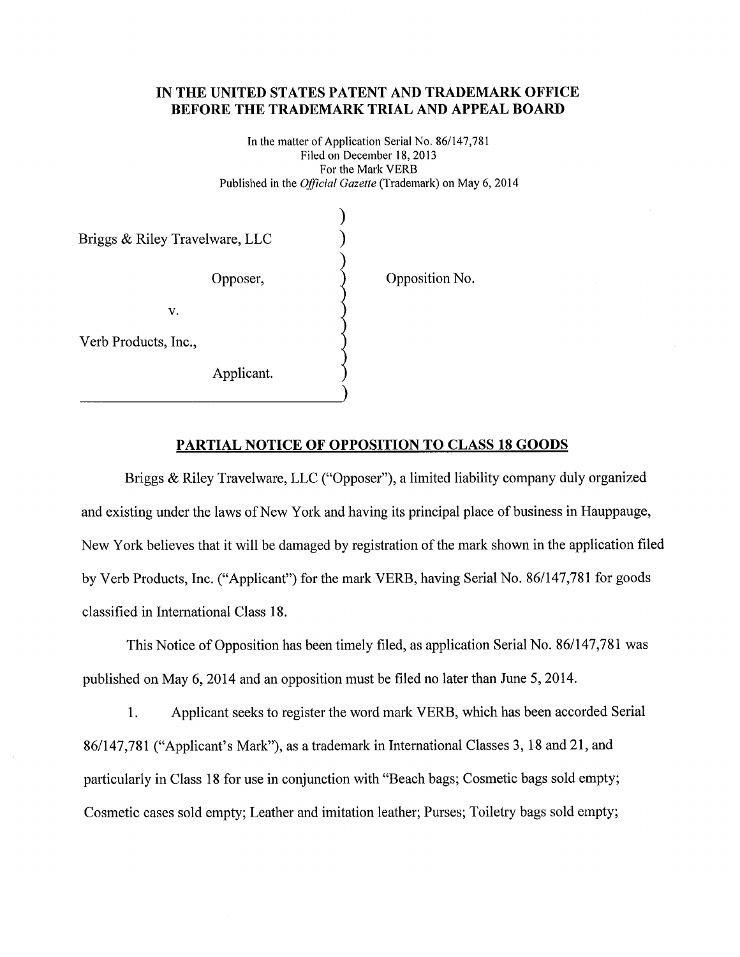#### IN THE UNITED STATES PATENT AND TRADEMARK OFFICE BEFORE THE TRADEMARK TRIAL AND APPEAL BOARD

In the matter of Application Serial No. 86/147,781 Filed on December 18, 2013 For the Mark VERB Published in the *Official Gazette* (Trademark) on May 6, 2014

Briggs & Riley Travelware, LLC Opposer, V. Verb Products, Inc.,

Applicant.

Opposition No.

#### PARTIAL NOTICE OF OPPOSITION TO CLASS 18 GOODS

Briggs & Riley Travelware, LLC ("Opposer"), a limited liability company duly organized and existing under the laws of New York and having its principal place of business in Hauppauge, New York believes that it will be damaged by registration of the mark shown in the application filed by Verb Products, Inc. ("Applicant") for the mark VERB, having Serial No. 86/147,781 for goods classified in International Class 18.

This Notice of Opposition has been timely filed, as application Serial No. 86/147,781 was published on May 6, 2014 and an opposition must be filed no later than June 5, 2014.

1. Applicant seeks to register the word mark VERB, which has been accorded Serial 86/147,781 ("Applicant's Mark"), as a trademark in International Classes 3, 18 and 21, and particularly in Class 18 for use in conjunction with "Beach bags; Cosmetic bags sold empty; Cosmetic cases sold empty; Leather and imitation leather; Purses; Toiletry bags sold empty;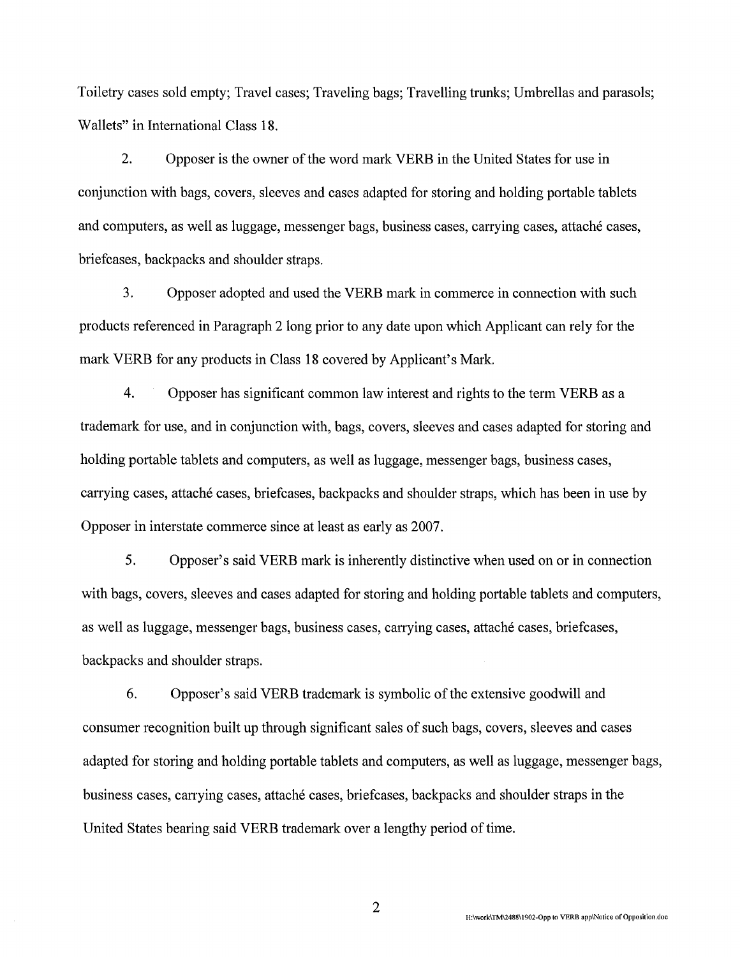Toiletry cases sold empty; Travel cases; Traveling bags; Travelling trunks; Umbrellas and parasols; Wallets" in International Class 18.

 $2.$ Opposer is the owner of the word mark VERB in the United States for use in conjunction with bags, covers, sleeves and cases adapted for storing and holding portable tablets and computers, as well as luggage, messenger bags, business cases, carrying cases, attaché cases, briefcases, backpacks and shoulder straps.

3. Opposer adopted and used the VERB mark in commerce in connection with such products referenced in Paragraph 2 long prior to any date upon which Applicant can rely for the mark VERB for any products in Class 18 covered by Applicant's Mark.

 $\overline{4}$ . Opposer has significant common law interest and rights to the term VERB as a trademark for use, and in conjunction with, bags, covers, sleeves and cases adapted for storing and holding portable tablets and computers, as well as luggage, messenger bags, business cases, carrying cases, attaché cases, briefcases, backpacks and shoulder straps, which has been in use by Opposer in interstate commerce since at least as early as 2007.

5. Opposer's said VERB mark is inherently distinctive when used on or in connection with bags, covers, sleeves and cases adapted for storing and holding portable tablets and computers, as well as luggage, messenger bags, business cases, carrying cases, attaché cases, briefcases, backpacks and shoulder straps.

6. Opposer's said VERB trademark is symbolic of the extensive goodwill and consumer recognition built up through significant sales of such bags, covers, sleeves and cases adapted for storing and holding portable tablets and computers, as well as luggage, messenger bags, business cases, carrying cases, attaché cases, briefcases, backpacks and shoulder straps in the United States bearing said VERB trademark over a lengthy period of time.

 $\overline{2}$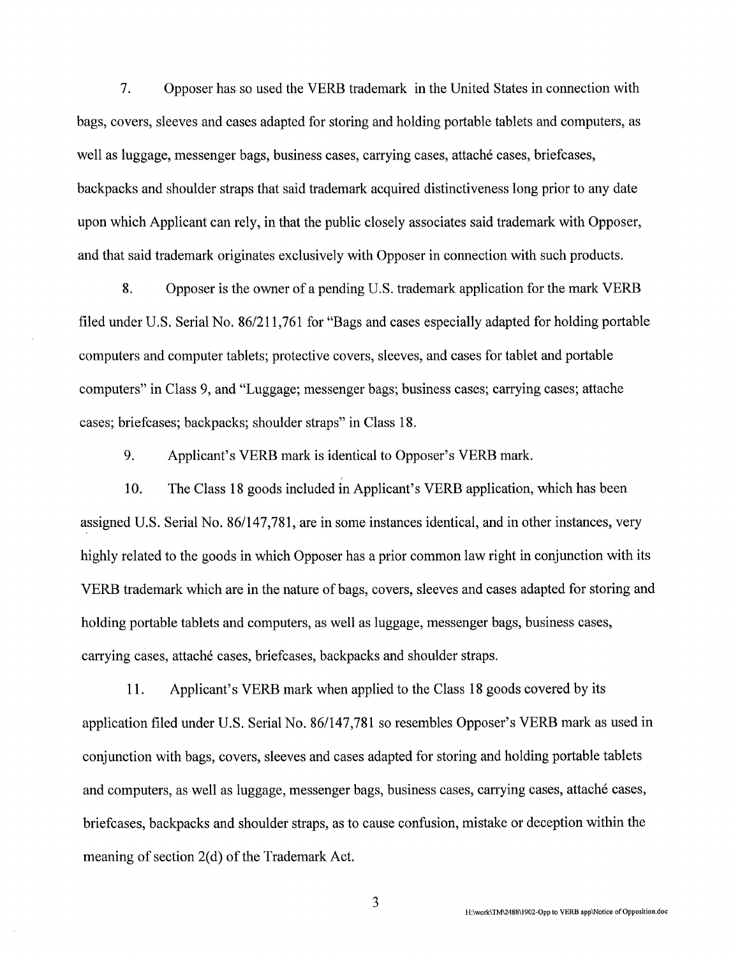$7.$ Opposer has so used the VERB trademark in the United States in connection with bags, covers, sleeves and cases adapted for storing and holding portable tablets and computers, as well as luggage, messenger bags, business cases, carrying cases, attaché cases, briefcases, backpacks and shoulder straps that said trademark acquired distinctiveness long prior to any date upon which Applicant can rely, in that the public closely associates said trademark with Opposer, and that said trademark originates exclusively with Opposer in connection with such products.

8. Opposer is the owner of a pending U.S. trademark application for the mark VERB filed under U.S. Serial No. 86/211,761 for "Bags and cases especially adapted for holding portable computers and computer tablets; protective covers, sleeves, and cases for tablet and portable computers" in Class 9, and "Luggage; messenger bags; business cases; carrying cases; attache cases; briefcases; backpacks; shoulder straps" in Class 18.

9. Applicant's VERB mark is identical to Opposer's VERB mark.

10. The Class 18 goods included in Applicant's VERB application, which has been assigned U.S. Serial No. 86/147,781, are in some instances identical, and in other instances, very highly related to the goods in which Opposer has a prior common law right in conjunction with its VERB trademark which are in the nature of bags, covers, sleeves and cases adapted for storing and holding portable tablets and computers, as well as luggage, messenger bags, business cases, carrying cases, attaché cases, briefcases, backpacks and shoulder straps.

Applicant's VERB mark when applied to the Class 18 goods covered by its 11. application filed under U.S. Serial No. 86/147,781 so resembles Opposer's VERB mark as used in conjunction with bags, covers, sleeves and cases adapted for storing and holding portable tablets and computers, as well as luggage, messenger bags, business cases, carrying cases, attaché cases, briefcases, backpacks and shoulder straps, as to cause confusion, mistake or deception within the meaning of section 2(d) of the Trademark Act.

H:\work\TM\2488\1902-Opp to VERB app\Notice of Opposition.doc

3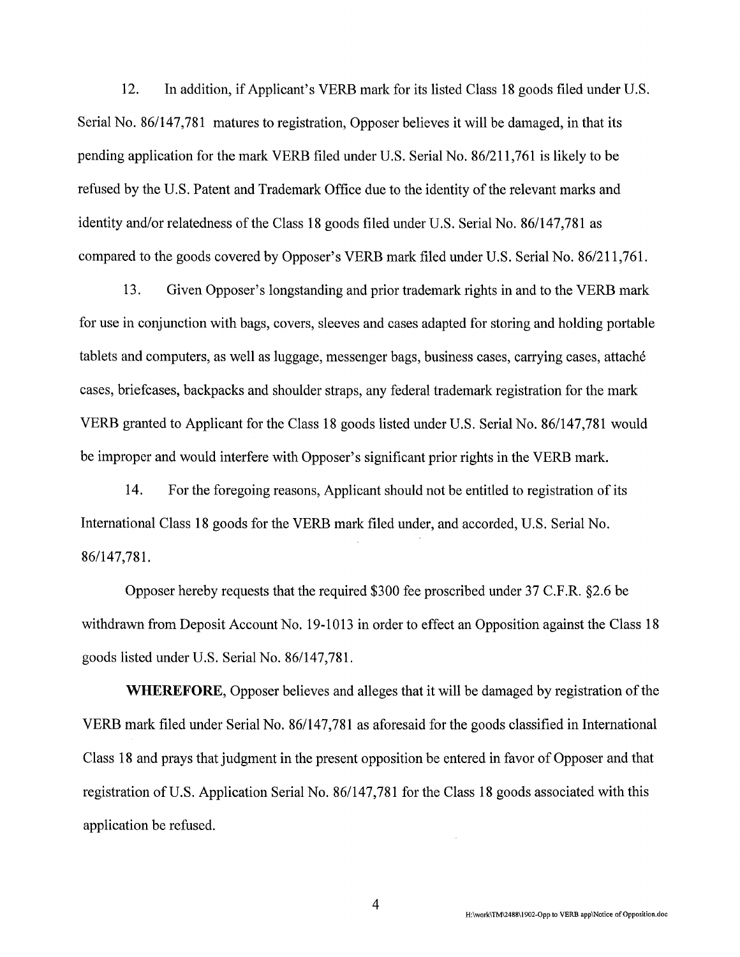12. In addition, if Applicant's VERB mark for its listed Class 18 goods filed under U.S. Serial No. 86/147,781 matures to registration, Opposer believes it will be damaged, in that its pending application for the mark VERB filed under U.S. Serial No. 86/211,761 is likely to be refused by the U.S. Patent and Trademark Office due to the identity of the relevant marks and identity and/or relatedness of the Class 18 goods filed under U.S. Serial No. 86/147,781 as compared to the goods covered by Opposer's VERB mark filed under U.S. Serial No. 86/211,761.

13. Given Opposer's longstanding and prior trademark rights in and to the VERB mark for use in conjunction with bags, covers, sleeves and cases adapted for storing and holding portable tablets and computers, as well as luggage, messenger bags, business cases, carrying cases, attaché cases, briefcases, backpacks and shoulder straps, any federal trademark registration for the mark VERB granted to Applicant for the Class 18 goods listed under U.S. Serial No. 86/147,781 would be improper and would interfere with Opposer's significant prior rights in the VERB mark.

14. For the foregoing reasons, Applicant should not be entitled to registration of its International Class 18 goods for the VERB mark filed under, and accorded, U.S. Serial No. 86/147,781.

Opposer hereby requests that the required \$300 fee proscribed under 37 C.F.R. §2.6 be withdrawn from Deposit Account No. 19-1013 in order to effect an Opposition against the Class 18 goods listed under U.S. Serial No. 86/147,781.

**WHEREFORE,** Opposer believes and alleges that it will be damaged by registration of the VERB mark filed under Serial No. 86/147,781 as aforesaid for the goods classified in International Class 18 and prays that judgment in the present opposition be entered in favor of Opposer and that registration of U.S. Application Serial No. 86/147,781 for the Class 18 goods associated with this application be refused.

4